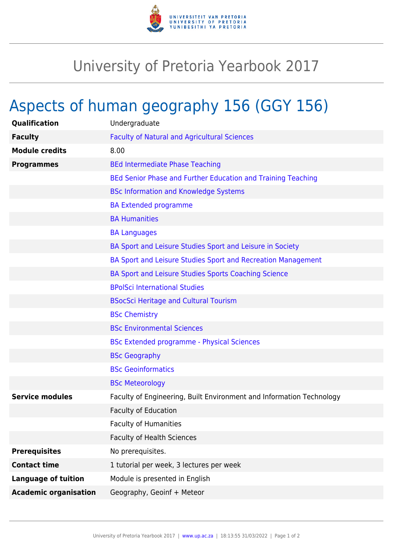

## University of Pretoria Yearbook 2017

## Aspects of human geography 156 (GGY 156)

| Qualification                | Undergraduate                                                        |
|------------------------------|----------------------------------------------------------------------|
| <b>Faculty</b>               | <b>Faculty of Natural and Agricultural Sciences</b>                  |
| <b>Module credits</b>        | 8.00                                                                 |
| <b>Programmes</b>            | <b>BEd Intermediate Phase Teaching</b>                               |
|                              | BEd Senior Phase and Further Education and Training Teaching         |
|                              | <b>BSc Information and Knowledge Systems</b>                         |
|                              | <b>BA Extended programme</b>                                         |
|                              | <b>BA Humanities</b>                                                 |
|                              | <b>BA Languages</b>                                                  |
|                              | BA Sport and Leisure Studies Sport and Leisure in Society            |
|                              | BA Sport and Leisure Studies Sport and Recreation Management         |
|                              | BA Sport and Leisure Studies Sports Coaching Science                 |
|                              | <b>BPolSci International Studies</b>                                 |
|                              | <b>BSocSci Heritage and Cultural Tourism</b>                         |
|                              | <b>BSc Chemistry</b>                                                 |
|                              | <b>BSc Environmental Sciences</b>                                    |
|                              | <b>BSc Extended programme - Physical Sciences</b>                    |
|                              | <b>BSc Geography</b>                                                 |
|                              | <b>BSc Geoinformatics</b>                                            |
|                              | <b>BSc Meteorology</b>                                               |
| <b>Service modules</b>       | Faculty of Engineering, Built Environment and Information Technology |
|                              | <b>Faculty of Education</b>                                          |
|                              | <b>Faculty of Humanities</b>                                         |
|                              | <b>Faculty of Health Sciences</b>                                    |
| <b>Prerequisites</b>         | No prerequisites.                                                    |
| <b>Contact time</b>          | 1 tutorial per week, 3 lectures per week                             |
| <b>Language of tuition</b>   | Module is presented in English                                       |
| <b>Academic organisation</b> | Geography, Geoinf + Meteor                                           |
|                              |                                                                      |